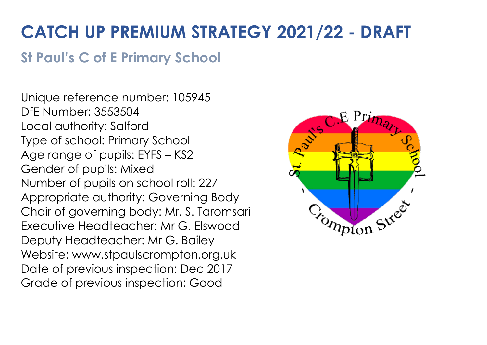## **CATCH UP PREMIUM STRATEGY 2021/22 - DRAFT**

## **St Paul's C of E Primary School**

Unique reference number: 105945 DfE Number: 3553504 Local authority: Salford Type of school: Primary School Age range of pupils: EYFS – KS2 Gender of pupils: Mixed Number of pupils on school roll: 227 Appropriate authority: Governing Body Chair of governing body: Mr. S. Taromsari Executive Headteacher: Mr G. Elswood Deputy Headteacher: Mr G. Bailey Website: www.stpaulscrompton.org.uk Date of previous inspection: Dec 2017 Grade of previous inspection: Good

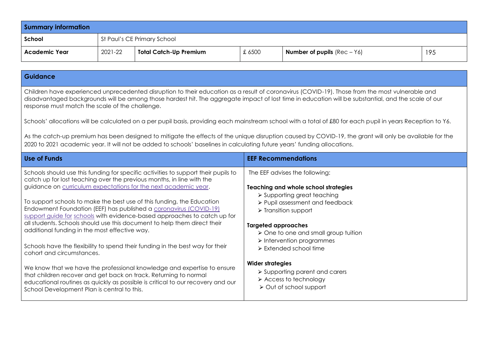| <b>Summary information</b> |         |                               |       |                                      |     |
|----------------------------|---------|-------------------------------|-------|--------------------------------------|-----|
| School                     |         | St Paul's CE Primary School   |       |                                      |     |
| <b>Academic Year</b>       | 2021-22 | <b>Total Catch-Up Premium</b> | £6500 | <b>Number of pupils</b> $(Rec - Y6)$ | 195 |

## **Guidance**

Children have experienced unprecedented disruption to their education as a result of coronavirus (COVID-19). Those from the most vulnerable and disadvantaged backgrounds will be among those hardest hit. The aggregate impact of lost time in education will be substantial, and the scale of our response must match the scale of the challenge.

Schools' allocations will be calculated on a per pupil basis, providing each mainstream school with a total of £80 for each pupil in years Reception to Y6.

As the catch-up premium has been designed to mitigate the effects of the unique disruption caused by COVID-19, the grant will only be available for the 2020 to 2021 academic year. It will not be added to schools' baselines in calculating future years' funding allocations.

| Use of Funds                                                                                                                                                                                                                   | <b>EEF Recommendations</b>                                                    |
|--------------------------------------------------------------------------------------------------------------------------------------------------------------------------------------------------------------------------------|-------------------------------------------------------------------------------|
| Schools should use this funding for specific activities to support their pupils to<br>catch up for lost teaching over the previous months, in line with the<br>guidance on curriculum expectations for the next academic year. | The EEF advises the following:<br><b>Teaching and whole school strategies</b> |
| To support schools to make the best use of this funding, the Education                                                                                                                                                         | $\triangleright$ Supporting great teaching                                    |
| Endowment Foundation (EEF) has published a coronavirus (COVID-19)                                                                                                                                                              | $\triangleright$ Pupil assessment and feedback                                |
| support guide for schools with evidence-based approaches to catch up for                                                                                                                                                       | $\triangleright$ Transition support                                           |
| all students. Schools should use this document to help them direct their                                                                                                                                                       | <b>Targeted approaches</b>                                                    |
| additional funding in the most effective way.                                                                                                                                                                                  | $\triangleright$ One to one and small group tuition                           |
| Schools have the flexibility to spend their funding in the best way for their                                                                                                                                                  | $\triangleright$ Intervention programmes                                      |
| cohort and circumstances.                                                                                                                                                                                                      | $\triangleright$ Extended school time                                         |
| We know that we have the professional knowledge and expertise to ensure                                                                                                                                                        | <b>Wider strategies</b>                                                       |
| that children recover and get back on track. Returning to normal                                                                                                                                                               | $\triangleright$ Supporting parent and carers                                 |
| educational routines as quickly as possible is critical to our recovery and our                                                                                                                                                | $\triangleright$ Access to technology                                         |
| School Development Plan is central to this.                                                                                                                                                                                    | $\triangleright$ Out of school support                                        |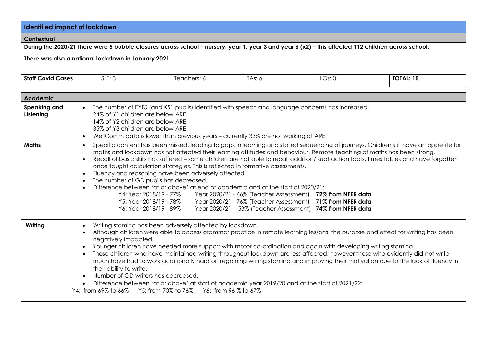| <b>Identified impact of lockdown</b> |                                                                                                                                                                                                                                                                                                                                                                                                                                                                                                                                                                                                                                                                                                                                                                                                                                                                                                                                                                                                                           |                                                                                                                                                                                                                                                                                                                                                                                                                      |             |                      |  |        |                                                                                                                                                                                                                                                                                                                                                                                                    |
|--------------------------------------|---------------------------------------------------------------------------------------------------------------------------------------------------------------------------------------------------------------------------------------------------------------------------------------------------------------------------------------------------------------------------------------------------------------------------------------------------------------------------------------------------------------------------------------------------------------------------------------------------------------------------------------------------------------------------------------------------------------------------------------------------------------------------------------------------------------------------------------------------------------------------------------------------------------------------------------------------------------------------------------------------------------------------|----------------------------------------------------------------------------------------------------------------------------------------------------------------------------------------------------------------------------------------------------------------------------------------------------------------------------------------------------------------------------------------------------------------------|-------------|----------------------|--|--------|----------------------------------------------------------------------------------------------------------------------------------------------------------------------------------------------------------------------------------------------------------------------------------------------------------------------------------------------------------------------------------------------------|
| Contextual                           |                                                                                                                                                                                                                                                                                                                                                                                                                                                                                                                                                                                                                                                                                                                                                                                                                                                                                                                                                                                                                           |                                                                                                                                                                                                                                                                                                                                                                                                                      |             |                      |  |        |                                                                                                                                                                                                                                                                                                                                                                                                    |
|                                      |                                                                                                                                                                                                                                                                                                                                                                                                                                                                                                                                                                                                                                                                                                                                                                                                                                                                                                                                                                                                                           | During the 2020/21 there were 5 bubble closures across school - nursery, year 1, year 3 and year 6 (x2) - this affected 112 children across school.                                                                                                                                                                                                                                                                  |             |                      |  |        |                                                                                                                                                                                                                                                                                                                                                                                                    |
|                                      |                                                                                                                                                                                                                                                                                                                                                                                                                                                                                                                                                                                                                                                                                                                                                                                                                                                                                                                                                                                                                           | There was also a national lockdown in January 2021.                                                                                                                                                                                                                                                                                                                                                                  |             |                      |  |        |                                                                                                                                                                                                                                                                                                                                                                                                    |
| <b>Staff Covid Cases</b>             |                                                                                                                                                                                                                                                                                                                                                                                                                                                                                                                                                                                                                                                                                                                                                                                                                                                                                                                                                                                                                           | SLT: 3                                                                                                                                                                                                                                                                                                                                                                                                               | Teachers: 6 | TAs: 6               |  | LOS: 0 | <b>TOTAL: 15</b>                                                                                                                                                                                                                                                                                                                                                                                   |
| <b>Academic</b>                      |                                                                                                                                                                                                                                                                                                                                                                                                                                                                                                                                                                                                                                                                                                                                                                                                                                                                                                                                                                                                                           |                                                                                                                                                                                                                                                                                                                                                                                                                      |             |                      |  |        |                                                                                                                                                                                                                                                                                                                                                                                                    |
| Speaking and<br>Listening            | $\bullet$                                                                                                                                                                                                                                                                                                                                                                                                                                                                                                                                                                                                                                                                                                                                                                                                                                                                                                                                                                                                                 | The number of EYFS (and KS1 pupils) identified with speech and language concerns has increased.<br>24% of Y1 children are below ARE.<br>14% of Y2 children are below ARE<br>35% of Y3 children are below ARE<br>WellComm data is lower than previous years - currently 33% are not working at ARE                                                                                                                    |             |                      |  |        |                                                                                                                                                                                                                                                                                                                                                                                                    |
| <b>Maths</b>                         | Specific content has been missed, leading to gaps in learning and stalled sequencing of journeys. Children still have an appetite for<br>$\bullet$<br>maths and lockdown has not affected their learning attitudes and behaviour. Remote teaching of maths has been strong.<br>Recall of basic skills has suffered - some children are not able to recall addition/ subtraction facts, times tables and have forgotten<br>$\bullet$<br>once taught calculation strategies. This is reflected in formative assessments.<br>Fluency and reasoning have been adversely affected.<br>$\bullet$<br>The number of GD pupils has decreased.<br>$\bullet$<br>Difference between 'at or above' at end of academic and at the start of 2020/21:<br>$\bullet$<br>Y4: Year 2018/19 - 77%<br>Year 2020/21 - 66% (Teacher Assessment) 72% from NFER data<br>Y5: Year 2018/19 - 78%<br>Year 2020/21 - 76% (Teacher Assessment) 71% from NFER data<br>Y6: Year 2018/19 - 89%<br>Year 2020/21- 53% (Teacher Assessment) 74% from NFER data |                                                                                                                                                                                                                                                                                                                                                                                                                      |             |                      |  |        |                                                                                                                                                                                                                                                                                                                                                                                                    |
| Writing                              | $\bullet$<br>$\bullet$<br>$\bullet$<br>$\bullet$<br>$\bullet$                                                                                                                                                                                                                                                                                                                                                                                                                                                                                                                                                                                                                                                                                                                                                                                                                                                                                                                                                             | Writing stamina has been adversely affected by lockdown.<br>negatively impacted.<br>Younger children have needed more support with motor co-ordination and again with developing writing stamina.<br>their ability to write.<br>Number of GD writers has decreased.<br>Difference between 'at or above' at start of academic year 2019/20 and at the start of 2021/22:<br>Y4: from 69% to 66%<br>Y5: from 70% to 76% |             | Y6: from 96 % to 67% |  |        | Although children were able to access grammar practice in remote learning lessons, the purpose and effect for writing has been<br>Those children who have maintained writing throughout lockdown are less affected, however those who evidently did not write<br>much have had to work additionally hard on regaining writing stamina and improving their motivation due to the lack of fluency in |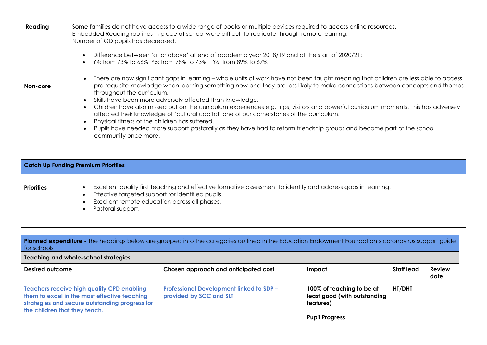| Reading  | Some families do not have access to a wide range of books or multiple devices required to access online resources.<br>Embedded Reading routines in place at school were difficult to replicate through remote learning.<br>Number of GD pupils has decreased.<br>Difference between 'at or above' at end of academic year 2018/19 and at the start of 2020/21:<br>$\bullet$<br>Y4: from 73% to 66% Y5: from 78% to 73% Y6: from 89% to 67%<br>$\bullet$                                                                                                                                                                                                                                                                                                                                               |
|----------|-------------------------------------------------------------------------------------------------------------------------------------------------------------------------------------------------------------------------------------------------------------------------------------------------------------------------------------------------------------------------------------------------------------------------------------------------------------------------------------------------------------------------------------------------------------------------------------------------------------------------------------------------------------------------------------------------------------------------------------------------------------------------------------------------------|
| Non-core | There are now significant gaps in learning - whole units of work have not been taught meaning that children are less able to access<br>pre-requisite knowledge when learning something new and they are less likely to make connections between concepts and themes<br>throughout the curriculum.<br>Skills have been more adversely affected than knowledge.<br>Children have also missed out on the curriculum experiences e.g. trips, visitors and powerful curriculum moments. This has adversely<br>affected their knowledge of `cultural capital` one of our cornerstones of the curriculum.<br>Physical fitness of the children has suffered.<br>Pupils have needed more support pastorally as they have had to reform friendship groups and become part of the school<br>community once more. |

| <b>Catch Up Funding Premium Priorities</b> |                                                                                                                                                                                                                                                                    |  |  |  |
|--------------------------------------------|--------------------------------------------------------------------------------------------------------------------------------------------------------------------------------------------------------------------------------------------------------------------|--|--|--|
| <b>Priorities</b>                          | Excellent quality first teaching and effective formative assessment to identify and address gaps in learning.<br>$\bullet$<br>Effective targeted support for identified pupils.<br>$\bullet$<br>Excellent remote education across all phases.<br>Pastoral support. |  |  |  |

| <b>Planned expenditure</b> - The headings below are grouped into the categories outlined in the Education Endowment Foundation's coronavirus support guide<br>for schools     |                                                                            |                                                                                                 |            |                       |  |
|-------------------------------------------------------------------------------------------------------------------------------------------------------------------------------|----------------------------------------------------------------------------|-------------------------------------------------------------------------------------------------|------------|-----------------------|--|
| Teaching and whole-school strategies                                                                                                                                          |                                                                            |                                                                                                 |            |                       |  |
| Desired outcome                                                                                                                                                               | Chosen approach and anticipated cost                                       | Impact                                                                                          | Staff lead | <b>Review</b><br>date |  |
| Teachers receive high quality CPD enabling<br>them to excel in the most effective teaching<br>strategies and secure outstanding progress for<br>the children that they teach. | <b>Professional Development linked to SDP -</b><br>provided by SCC and SLT | 100% of teaching to be at<br>least good (with outstanding<br>features)<br><b>Pupil Progress</b> | HT/DHT     |                       |  |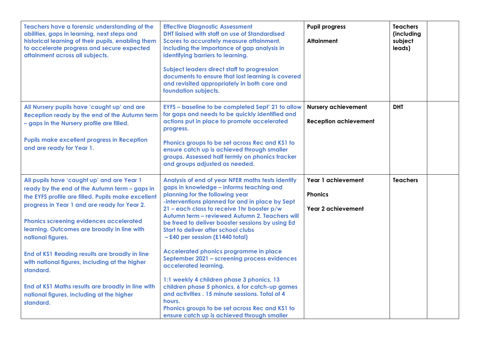| Teachers have a forensic understanding of the<br>abilities, gaps in learning, next steps and<br>historical learning of their pupils, enabling them<br>to accelerate progress and secure expected<br>attainment across all subjects.                                                                              | <b>Effective Diagnostic Assessment</b><br><b>DHT liaised with staff on use of Standardised</b><br>Scores to accurately measure attainment,<br>including the importance of gap analysis in<br>identifying barriers to learning.<br><b>Subject leaders direct staff to progression</b><br>documents to ensure that lost learning is covered<br>and revisited appropriately in both core and<br>foundation subjects.       | <b>Pupil progress</b><br><b>Attainment</b>                        | <b>Teachers</b><br>(including<br>subject<br>leads) |  |
|------------------------------------------------------------------------------------------------------------------------------------------------------------------------------------------------------------------------------------------------------------------------------------------------------------------|-------------------------------------------------------------------------------------------------------------------------------------------------------------------------------------------------------------------------------------------------------------------------------------------------------------------------------------------------------------------------------------------------------------------------|-------------------------------------------------------------------|----------------------------------------------------|--|
| All Nursery pupils have 'caught up' and are<br>Reception ready by the end of the Autumn term<br>- gaps in the Nursery profile are filled.<br><b>Pupils make excellent progress in Reception</b><br>and are ready for Year 1.                                                                                     | EYFS - baseline to be completed Sept' 21 to allow<br>for gaps and needs to be quickly identified and<br>actions put in place to promote accelerated<br>progress.<br>Phonics groups to be set across Rec and KS1 to<br>ensure catch up is achieved through smaller<br>groups. Assessed half termly on phonics tracker<br>and groups adjusted as needed.                                                                  | <b>Nursery achievement</b><br><b>Reception achievement</b>        | <b>DHT</b>                                         |  |
| All pupils have 'caught up' and are Year 1<br>ready by the end of the Autumn term - gaps in<br>the EYFS profile are filled. Pupils make excellent<br>progress in Year 1 and are ready for Year 2.<br>Phonics screening evidences accelerated<br>learning. Outcomes are broadly in line with<br>national figures. | Analysis of end of year NFER maths tests identify<br>gaps in knowledge - informs teaching and<br>planning for the following year<br>-interventions planned for and in place by Sept<br>21 - each class to receive 1hr booster p/w<br>Autumn term - reviewed Autumn 2. Teachers will<br>be freed to deliver booster sessions by using Ed<br><b>Start to deliver after school clubs</b><br>-£40 per session (£1440 total) | Year 1 achievement<br><b>Phonics</b><br><b>Year 2 achievement</b> | <b>Teachers</b>                                    |  |
| End of KS1 Reading results are broadly in line<br>with national figures, including at the higher<br>standard.                                                                                                                                                                                                    | <b>Accelerated phonics programme in place</b><br>September 2021 - screening process evidences<br>accelerated learning.<br>1:1 weekly 4 children phase 3 phonics, 13                                                                                                                                                                                                                                                     |                                                                   |                                                    |  |
| End of KS1 Maths results are broadly in line with<br>national figures, including at the higher<br>standard.                                                                                                                                                                                                      | children phase 5 phonics, 6 for catch-up games<br>and activities . 15 minute sessions. Total of 4<br>hours.<br>Phonics groups to be set across Rec and KS1 to<br>ensure catch up is achieved through smaller                                                                                                                                                                                                            |                                                                   |                                                    |  |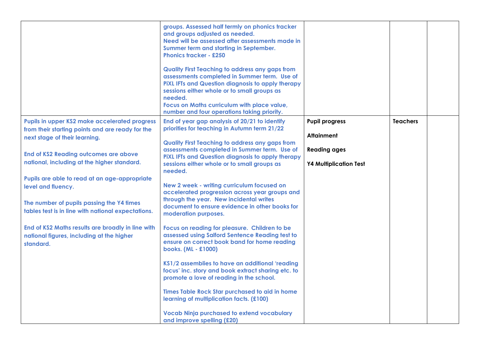|                                                                                                                                                                                                                                                                                                                                                                                                                                                                                                                            | groups. Assessed half termly on phonics tracker<br>and groups adjusted as needed.<br>Need will be assessed after assessments made in<br>Summer term and starting in September.<br><b>Phonics tracker - £250</b><br><b>Quality First Teaching to address any gaps from</b><br>assessments completed in Summer term. Use of<br>PIXL IFTs and Question diagnosis to apply therapy<br>sessions either whole or to small groups as<br>needed.<br>Focus on Maths curriculum with place value,<br>number and four operations taking priority.                                                                                                                                                                                                                                                                                                                                                                                                                                                                                                                       |                                                                                                    |                 |  |
|----------------------------------------------------------------------------------------------------------------------------------------------------------------------------------------------------------------------------------------------------------------------------------------------------------------------------------------------------------------------------------------------------------------------------------------------------------------------------------------------------------------------------|--------------------------------------------------------------------------------------------------------------------------------------------------------------------------------------------------------------------------------------------------------------------------------------------------------------------------------------------------------------------------------------------------------------------------------------------------------------------------------------------------------------------------------------------------------------------------------------------------------------------------------------------------------------------------------------------------------------------------------------------------------------------------------------------------------------------------------------------------------------------------------------------------------------------------------------------------------------------------------------------------------------------------------------------------------------|----------------------------------------------------------------------------------------------------|-----------------|--|
| <b>Pupils in upper KS2 make accelerated progress</b><br>from their starting points and are ready for the<br>next stage of their learning.<br>End of KS2 Reading outcomes are above<br>national, including at the higher standard.<br>Pupils are able to read at an age-appropriate<br>level and fluency.<br>The number of pupils passing the Y4 times<br>tables test is in line with national expectations.<br>End of KS2 Maths results are broadly in line with<br>national figures, including at the higher<br>standard. | End of year gap analysis of 20/21 to identify<br>priorities for teaching in Autumn term 21/22<br><b>Quality First Teaching to address any gaps from</b><br>assessments completed in Summer term. Use of<br>PIXL IFTs and Question diagnosis to apply therapy<br>sessions either whole or to small groups as<br>needed.<br>New 2 week - writing curriculum focused on<br>accelerated progression across year groups and<br>through the year. New incidental writes<br>document to ensure evidence in other books for<br>moderation purposes.<br>Focus on reading for pleasure. Children to be<br>assessed using Salford Sentence Reading test to<br>ensure on correct book band for home reading<br>books. (ML - £1000)<br>KS1/2 assemblies to have an additional 'reading<br>focus' inc. story and book extract sharing etc. to<br>promote a love of reading in the school.<br>Times Table Rock Star purchased to aid in home<br>learning of multiplication facts. (£100)<br><b>Vocab Ninja purchased to extend vocabulary</b><br>and improve spelling (£20) | <b>Pupil progress</b><br><b>Attainment</b><br><b>Reading ages</b><br><b>Y4 Multiplication Test</b> | <b>Teachers</b> |  |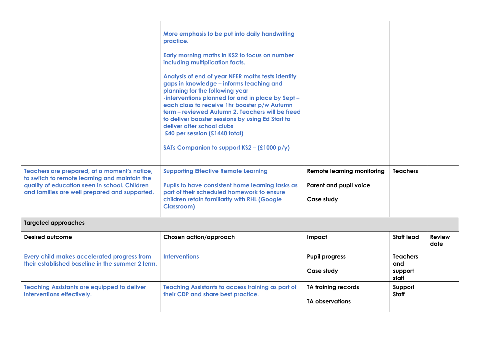|                                                                                                                                                                                                 | More emphasis to be put into daily handwriting<br>practice.<br>Early morning maths in KS2 to focus on number<br>including multiplication facts.<br>Analysis of end of year NFER maths tests identify<br>gaps in knowledge - informs teaching and<br>planning for the following year<br>-interventions planned for and in place by Sept -<br>each class to receive 1hr booster p/w Autumn<br>term - reviewed Autumn 2. Teachers will be freed<br>to deliver booster sessions by using Ed Start to<br>deliver after school clubs<br>£40 per session (£1440 total)<br>SATs Companion to support $KS2 - (£1000 p/y)$ |                                                                           |                                            |                       |
|-------------------------------------------------------------------------------------------------------------------------------------------------------------------------------------------------|------------------------------------------------------------------------------------------------------------------------------------------------------------------------------------------------------------------------------------------------------------------------------------------------------------------------------------------------------------------------------------------------------------------------------------------------------------------------------------------------------------------------------------------------------------------------------------------------------------------|---------------------------------------------------------------------------|--------------------------------------------|-----------------------|
| Teachers are prepared, at a moment's notice,<br>to switch to remote learning and maintain the<br>quality of education seen in school. Children<br>and families are well prepared and supported. | <b>Supporting Effective Remote Learning</b><br>Pupils to have consistent home learning tasks as<br>part of their scheduled homework to ensure<br>children retain familiarity with RHL (Google<br><b>Classroom)</b>                                                                                                                                                                                                                                                                                                                                                                                               | <b>Remote learning monitoring</b><br>Parent and pupil voice<br>Case study | <b>Teachers</b>                            |                       |
| <b>Targeted approaches</b>                                                                                                                                                                      |                                                                                                                                                                                                                                                                                                                                                                                                                                                                                                                                                                                                                  |                                                                           |                                            |                       |
| Desired outcome                                                                                                                                                                                 | Chosen action/approach                                                                                                                                                                                                                                                                                                                                                                                                                                                                                                                                                                                           | Impact                                                                    | <b>Staff lead</b>                          | <b>Review</b><br>date |
| Every child makes accelerated progress from<br>their established baseline in the summer 2 term.                                                                                                 | <b>Interventions</b>                                                                                                                                                                                                                                                                                                                                                                                                                                                                                                                                                                                             | <b>Pupil progress</b><br>Case study                                       | <b>Teachers</b><br>and<br>support<br>staff |                       |
| <b>Teaching Assistants are equipped to deliver</b><br>interventions effectively.                                                                                                                | <b>Teaching Assistants to access training as part of</b><br>their CDP and share best practice.                                                                                                                                                                                                                                                                                                                                                                                                                                                                                                                   | <b>TA training records</b><br><b>TA observations</b>                      | Support<br>Staff                           |                       |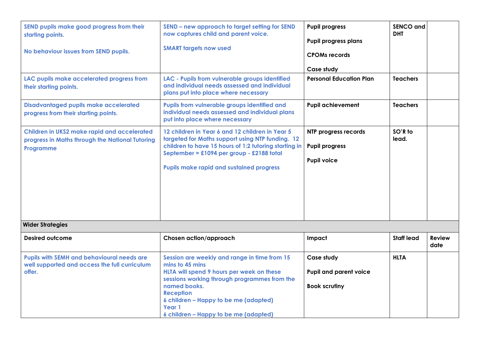| SEND pupils make good progress from their<br>starting points.<br>No behaviour issues from SEND pupils.<br>LAC pupils make accelerated progress from<br>their starting points.<br><b>Disadvantaged pupils make accelerated</b><br>progress from their starting points.<br>Children in UKS2 make rapid and accelerated<br>progress in Maths through the National Tutoring<br>Programme | SEND - new approach to target setting for SEND<br>now captures child and parent voice.<br><b>SMART targets now used</b><br>LAC - Pupils from vulnerable groups identified<br>and individual needs assessed and individual<br>plans put into place where necessary<br>Pupils from vulnerable groups identified and<br>individual needs assessed and individual plans<br>put into place where necessary<br>12 children in Year 6 and 12 children in Year 5<br>targeted for Maths support using NTP funding. 12<br>children to have 15 hours of 1:2 tutoring starting in<br>September = £1094 per group - £2188 total<br><b>Pupils make rapid and sustained progress</b> | <b>Pupil progress</b><br><b>Pupil progress plans</b><br><b>CPOMs records</b><br>Case study<br><b>Personal Education Plan</b><br><b>Pupil achievement</b><br>NTP progress records<br><b>Pupil progress</b><br><b>Pupil voice</b> | <b>SENCO and</b><br><b>DHT</b><br><b>Teachers</b><br><b>Teachers</b><br>SO'R to<br>lead. |                       |
|--------------------------------------------------------------------------------------------------------------------------------------------------------------------------------------------------------------------------------------------------------------------------------------------------------------------------------------------------------------------------------------|-----------------------------------------------------------------------------------------------------------------------------------------------------------------------------------------------------------------------------------------------------------------------------------------------------------------------------------------------------------------------------------------------------------------------------------------------------------------------------------------------------------------------------------------------------------------------------------------------------------------------------------------------------------------------|---------------------------------------------------------------------------------------------------------------------------------------------------------------------------------------------------------------------------------|------------------------------------------------------------------------------------------|-----------------------|
| <b>Wider Strategies</b>                                                                                                                                                                                                                                                                                                                                                              |                                                                                                                                                                                                                                                                                                                                                                                                                                                                                                                                                                                                                                                                       |                                                                                                                                                                                                                                 |                                                                                          |                       |
| <b>Desired outcome</b>                                                                                                                                                                                                                                                                                                                                                               | Chosen action/approach                                                                                                                                                                                                                                                                                                                                                                                                                                                                                                                                                                                                                                                | Impact                                                                                                                                                                                                                          | <b>Staff lead</b>                                                                        | <b>Review</b><br>date |
| Pupils with SEMH and behavioural needs are<br>well supported and access the full curriculum<br>offer.                                                                                                                                                                                                                                                                                | Session are weekly and range in time from 15<br>mins to 45 mins<br>HLTA will spend 9 hours per week on these<br>sessions working through programmes from the<br>named books.<br><b>Reception</b><br>6 children - Happy to be me (adapted)<br>Year 1<br>6 children - Happy to be me (adapted)                                                                                                                                                                                                                                                                                                                                                                          | Case study<br><b>Pupil and parent voice</b><br><b>Book scrutiny</b>                                                                                                                                                             | <b>HLTA</b>                                                                              |                       |